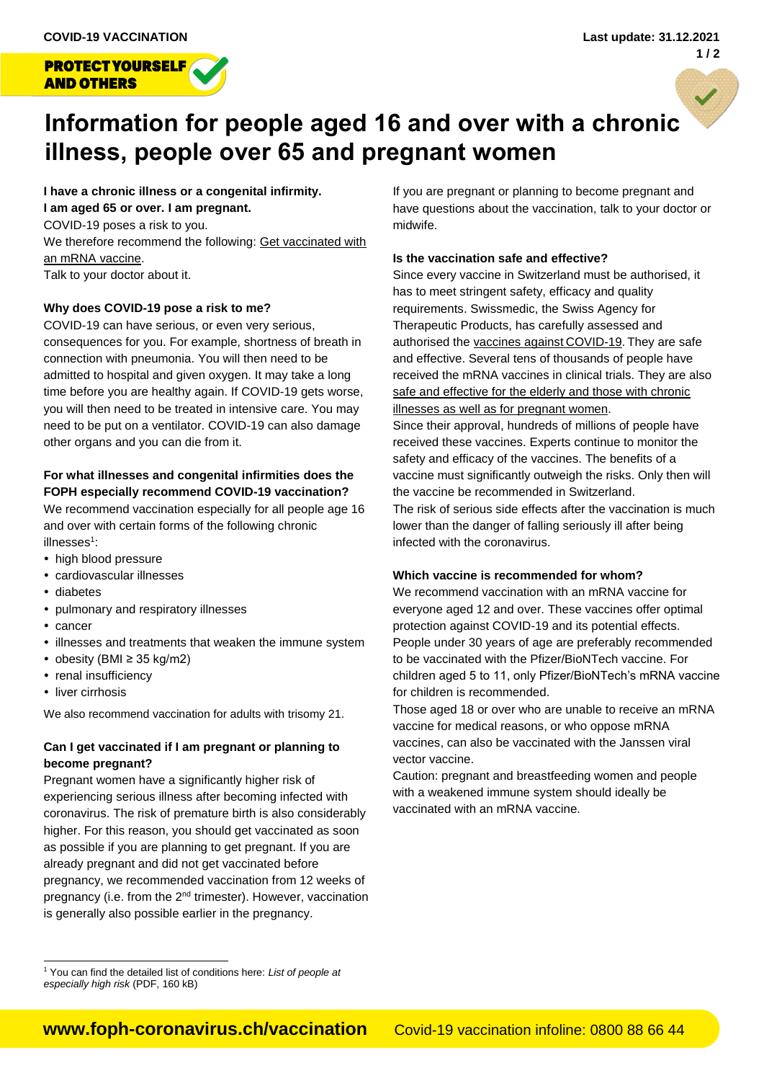

# **Information for people aged 16 and over with a chronic illness, people over 65 and pregnant women**

**I have a chronic illness or a congenital infirmity. I am aged 65 or over. I am pregnant.** COVID-19 poses a risk to you. We therefore recommend the following: Get vaccinated with an mRNA vaccine.

Talk to your doctor about it.

# **Why does COVID-19 pose a risk to me?**

COVID-19 can have serious, or even very serious, consequences for you. For example, shortness of breath in connection with pneumonia. You will then need to be admitted to hospital and given oxygen. It may take a long time before you are healthy again. If COVID-19 gets worse, you will then need to be treated in intensive care. You may need to be put on a ventilator. COVID-19 can also damage other organs and you can die from it.

# **For what illnesses and congenital infirmities does the FOPH especially recommend COVID-19 vaccination?**

We recommend vaccination especially for all people age 16 and over with certain forms of the following chronic illnesses<sup>1</sup>:

- high blood pressure
- cardiovascular illnesses
- diabetes
- pulmonary and respiratory illnesses
- cancer

 $\overline{a}$ 

- illnesses and treatments that weaken the immune system
- $\bullet$  obesity (BMI ≥ 35 kg/m2)
- renal insufficiency
- liver cirrhosis

We also recommend vaccination for adults with trisomy 21.

# **Can I get vaccinated if I am pregnant or planning to become pregnant?**

Pregnant women have a significantly higher risk of experiencing serious illness after becoming infected with coronavirus. The risk of premature birth is also considerably higher. For this reason, you should get vaccinated as soon as possible if you are planning to get pregnant. If you are already pregnant and did not get vaccinated before pregnancy, we recommended vaccination from 12 weeks of pregnancy (i.e. from the 2nd trimester). However, vaccination is generally also possible earlier in the pregnancy.

If you are pregnant or planning to become pregnant and have questions about the vaccination, talk to your doctor or midwife.

# **Is the vaccination safe and effective?**

Since every vaccine in Switzerland must be authorised, it has to meet stringent safety, efficacy and quality requirements. Swissmedic, the Swiss Agency for Therapeutic Products, has carefully assessed and authorised the vaccines against COVID-19. They are safe and effective. Several tens of thousands of people have received the mRNA vaccines in clinical trials. They are also safe and effective for the elderly and those with chronic illnesses as well as for pregnant women.

Since their approval, hundreds of millions of people have received these vaccines. Experts continue to monitor the safety and efficacy of the vaccines. The benefits of a vaccine must significantly outweigh the risks. Only then will the vaccine be recommended in Switzerland. The risk of serious side effects after the vaccination is much lower than the danger of falling seriously ill after being infected with the coronavirus.

# **Which vaccine is recommended for whom?**

We recommend vaccination with an mRNA vaccine for everyone aged 12 and over. These vaccines offer optimal protection against COVID-19 and its potential effects. People under 30 years of age are preferably recommended to be vaccinated with the Pfizer/BioNTech vaccine. For children aged 5 to 11, only Pfizer/BioNTech's mRNA vaccine for children is recommended.

Those aged 18 or over who are unable to receive an mRNA vaccine for medical reasons, or who oppose mRNA vaccines, can also be vaccinated with the Janssen viral vector vaccine.

Caution: pregnant and breastfeeding women and people with a weakened immune system should ideally be vaccinated with an mRNA vaccine.

<sup>1</sup> You can find the detailed list of conditions here: *[List of people at](https://www.bag.admin.ch/dam/bag/en/dokumente/mt/k-und-i/aktuelle-ausbrueche-pandemien/2019-nCoV/kategorien-besonders-gefaehrdete-personen.pdf.download.pdf/Categories%20of%20persons%20at%20high%20risk.pdf)  [especially high risk](https://www.bag.admin.ch/dam/bag/en/dokumente/mt/k-und-i/aktuelle-ausbrueche-pandemien/2019-nCoV/kategorien-besonders-gefaehrdete-personen.pdf.download.pdf/Categories%20of%20persons%20at%20high%20risk.pdf)* (PDF, 160 kB)